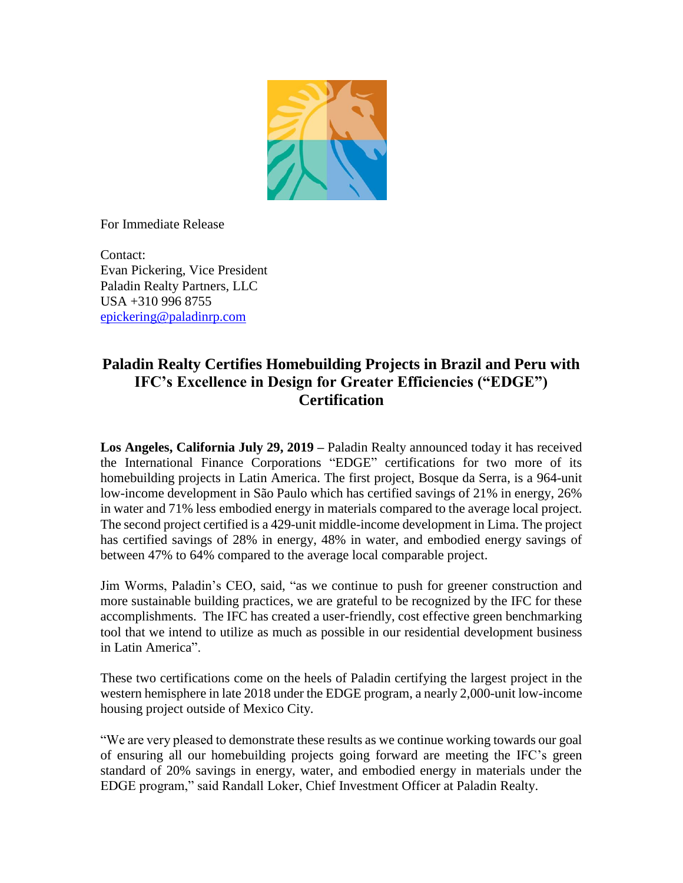

For Immediate Release

Contact: Evan Pickering, Vice President Paladin Realty Partners, LLC USA +310 996 8755 [epickering@paladinrp.com](mailto:fgortner@paladinrp.com)

## **Paladin Realty Certifies Homebuilding Projects in Brazil and Peru with IFC's Excellence in Design for Greater Efficiencies ("EDGE") Certification**

**Los Angeles, California July 29, 2019 –** Paladin Realty announced today it has received the International Finance Corporations "EDGE" certifications for two more of its homebuilding projects in Latin America. The first project, Bosque da Serra, is a 964-unit low-income development in São Paulo which has certified savings of 21% in energy, 26% in water and 71% less embodied energy in materials compared to the average local project. The second project certified is a 429-unit middle-income development in Lima. The project has certified savings of 28% in energy, 48% in water, and embodied energy savings of between 47% to 64% compared to the average local comparable project.

Jim Worms, Paladin's CEO, said, "as we continue to push for greener construction and more sustainable building practices, we are grateful to be recognized by the IFC for these accomplishments. The IFC has created a user-friendly, cost effective green benchmarking tool that we intend to utilize as much as possible in our residential development business in Latin America".

These two certifications come on the heels of Paladin certifying the largest project in the western hemisphere in late 2018 under the EDGE program, a nearly 2,000-unit low-income housing project outside of Mexico City.

"We are very pleased to demonstrate these results as we continue working towards our goal of ensuring all our homebuilding projects going forward are meeting the IFC's green standard of 20% savings in energy, water, and embodied energy in materials under the EDGE program," said Randall Loker, Chief Investment Officer at Paladin Realty.